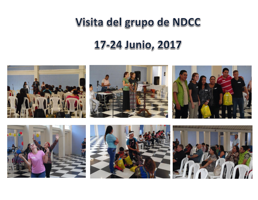## Visita del grupo de NDCC 17-24 Junio, 2017



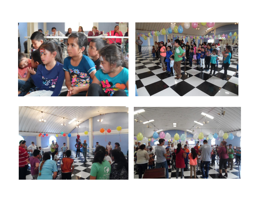